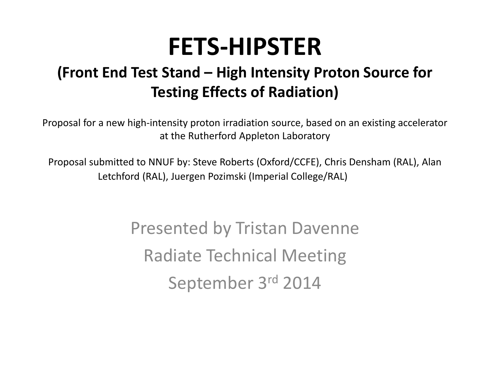# **FETS‐HIPSTER**

#### **(Front End Test Stand – High Intensity Proton Source for Testing Effects of Radiation)**

Proposal for <sup>a</sup> new high‐intensity proton irradiation source, based on an existing accelerator at the Rutherford Appleton Laboratory

Proposal submitted to NNUF by: Steve Roberts (Oxford/CCFE), Chris Densham (RAL), Alan Letchford (RAL), Juergen Pozimski (Imperial College/RAL)

> Presented by Tristan Davenne Radiate Technical Meeting September 3r<sup>d</sup> <sup>2014</sup>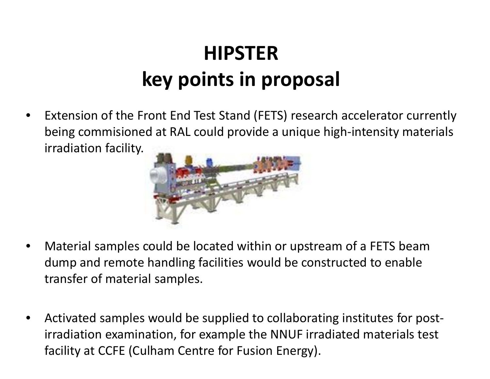## **HIPSTERkey points in proposal**

• Extension of the Front End Test Stand (FETS) research accelerator currently being commisioned at RAL could provide <sup>a</sup> unique high‐intensity materials irradiation facility.



- • Material samples could be located within or upstream of <sup>a</sup> FETS beam dump and remote handling facilities would be constructed to enable transfer of material samples.
- •● Activated samples would be supplied to collaborating institutes for postirradiation examination, for example the NNUF irradiated materials test facility at CCFE (Culham Centre for Fusion Energy).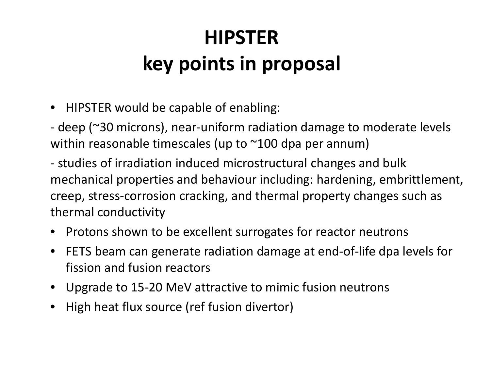## **HIPSTERkey points in proposal**

- HIPSTER would be capable of enabling:
- deep (~30 microns), near‐uniform radiation damage to moderate levels within reasonable timescales (up to ~100 dpa per annum)

‐ studies of irradiation induced microstructural changes and bulk mechanical properties and behaviour including: hardening, embrittlement, creep, stress‐corrosion cracking, and thermal property changes such as thermal conductivity

- $\bullet$  $\bullet$  Protons shown to be excellent surrogates for reactor neutrons
- $\bullet$  FETS beam can generate radiation damage at end‐of‐life dpa levels for fission and fusion reactors
- Upgrade to 15‐20 MeV attractive to mimic fusion neutrons
- •High heat flux source (ref fusion divertor)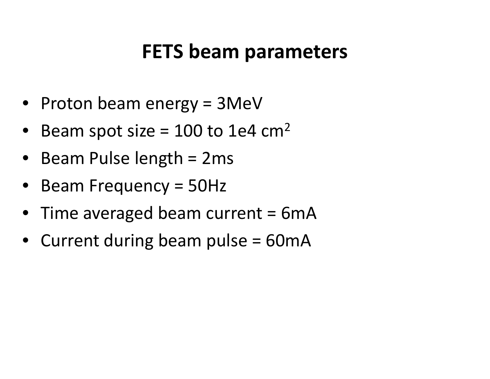#### **FETS beam parameters**

- Proton beam energy <sup>=</sup> 3MeV
- $\bullet$ • Beam spot size = 100 to 1e4 cm<sup>2</sup>
- Beam Pulse length <sup>=</sup> 2ms
- •• Beam Frequency = 50Hz
- Time averaged beam current = 6mA
- Current during beam pulse <sup>=</sup> 60mA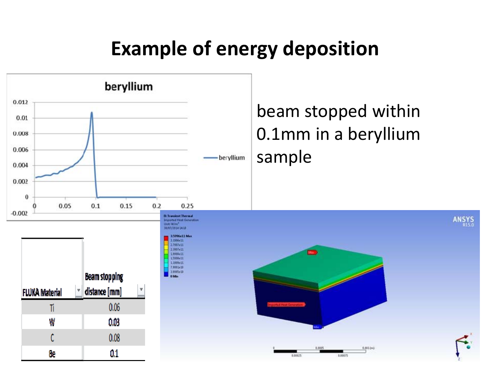## **Example of energy deposition**

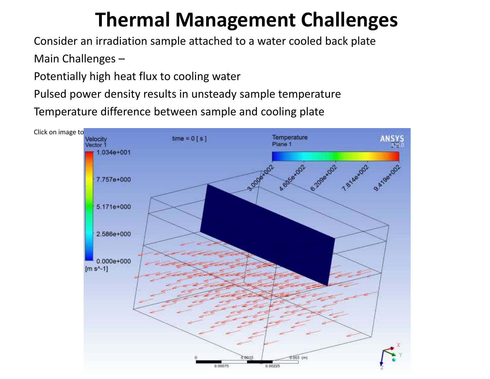#### **Thermal Management Challenges**

Consider an irradiation sample attached to <sup>a</sup> water cooled back plate

Main Challenges –

Potentially high heat flux to cooling water

Pulsed power density results in unsteady sample temperature

Temperature difference between sample and cooling plate

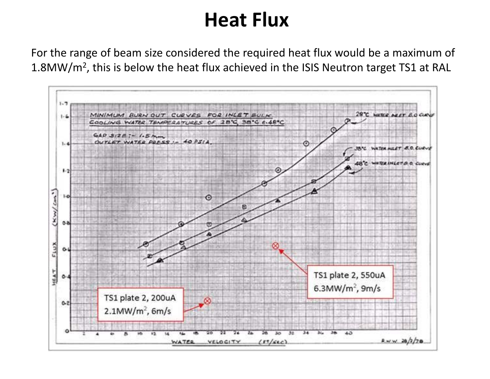#### **Heat Flux**

For the range of beam size considered the required heat flux would be <sup>a</sup> maximum of 1.8MW/m2, this is below the heat flux achieved in the ISIS Neutron target TS1 at RAL

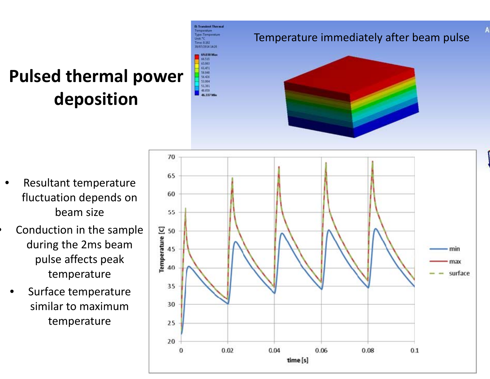#### **Pulsed thermal power deposition**



**B: Transient Thermal** 

#### Temperature immediately after beam pulse



- • Resultant temperature fluctuation depends on beam size
- •**Conduction in the sample** during the 2ms beam pulse affects peak temperature
	- •• Surface temperature similar to maximumtemperature

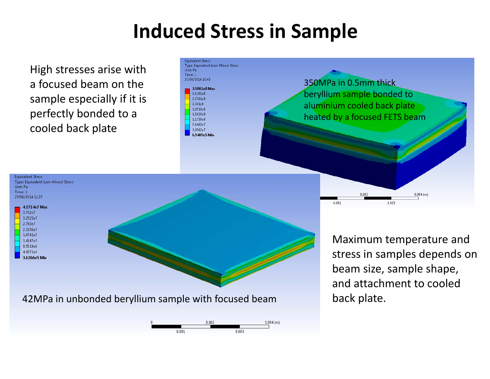#### **Induced Stress in Sample**

High stresses arise with a focused beam on the sample especially if it is perfectly bonded to <sup>a</sup> cooled back plate





Maximum temperature and stress in samples depends on beam size, sample shape, and attachment to cooled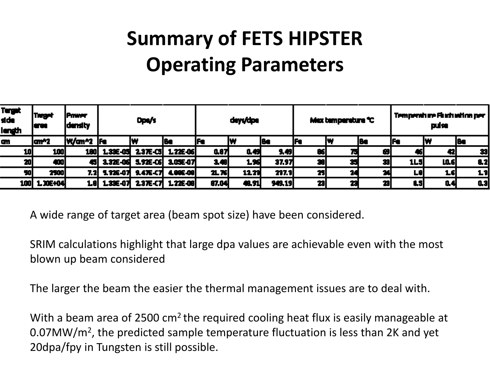## **Summary of FETS HIPSTER Operating Parameters**

| Terget<br>side<br>length | <b>Target</b><br>i arau | <b>Priver</b><br>density | Dpa/s |                                |    | deys/dpe |        |        | Max temperature "C" |    |     | Temperature Fluctuation per<br>pulse |      |      |
|--------------------------|-------------------------|--------------------------|-------|--------------------------------|----|----------|--------|--------|---------------------|----|-----|--------------------------------------|------|------|
| GM.                      | law?                    | W/an^2  Fe               |       |                                | I۴ | jFe      |        | l Ba   | jFe                 |    | 184 | I۴                                   |      | l Ba |
| 10                       | 100                     | 180                      |       | 1.33E-05 2.37E-C5 1.22E-06     |    | 0.87     | 0.49   | 9,49   | 86                  |    | Б   |                                      | 42   | 33   |
| 20                       | 400                     |                          |       | 45 3.32E-06 5.92E-06 3.05E-07  |    | 3.48     | 1.96   | 37.97  | æ                   |    |     | <b>1L5</b>                           | LO.6 | 8.2  |
| 50                       | 2500                    |                          |       | 7.2 5.726-07 9.476-07 4.006-00 |    | 끄져       | 12.21  | 297.9  | 25                  | 24 |     | ᅝ                                    | 16   | 1.1  |
| 100                      | 1.30E+04                |                          |       | 1.33E-07 2.37E-C7 1.22E-08     |    | 87.04    | 48. SL | 949.19 | 23                  | 23 |     | t.                                   | 0.4  | 0.3  |

A wide range of target area (beam spot size) have been considered.

SRIM calculations highlight that large dpa values are achievable even with the most blown up beam considered

The larger the beam the easier the thermal management issues are to deal with.

With a beam area of 2500 cm<sup>2</sup> the required cooling heat flux is easily manageable at 0.07MW/m2, the predicted sample temperature fluctuation is less than 2K and yet 20dpa/fpy in Tungsten is still possible.